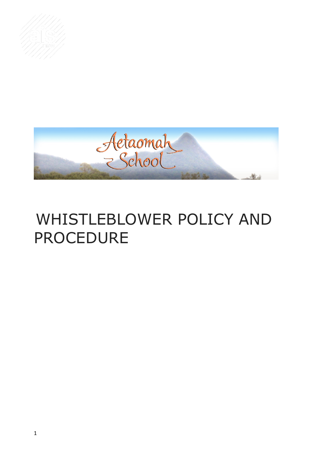



# WHISTLEBLOWER POLICY AND PROCEDURE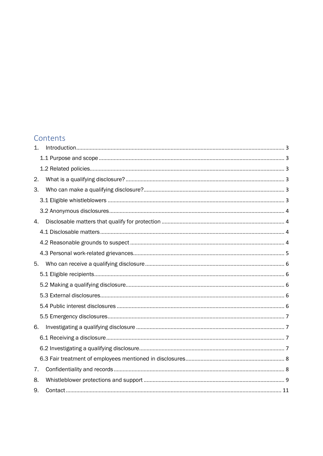### Contents

| 1. |  |
|----|--|
|    |  |
|    |  |
| 2. |  |
| 3. |  |
|    |  |
|    |  |
| 4. |  |
|    |  |
|    |  |
|    |  |
| 5. |  |
|    |  |
|    |  |
|    |  |
|    |  |
|    |  |
| 6. |  |
|    |  |
|    |  |
|    |  |
| 7. |  |
| 8. |  |
| 9. |  |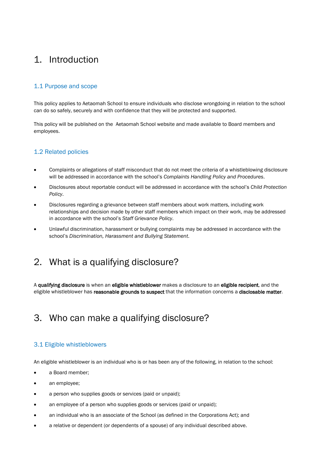# <span id="page-2-0"></span>1. Introduction

#### <span id="page-2-1"></span>1.1 Purpose and scope

This policy applies to Aetaomah School to ensure individuals who disclose wrongdoing in relation to the school can do so safely, securely and with confidence that they will be protected and supported.

This policy will be published on the Aetaomah School website and made available to Board members and employees.

#### <span id="page-2-2"></span>1.2 Related policies

- Complaints or allegations of staff misconduct that do not meet the criteria of a whistleblowing disclosure will be addressed in accordance with the school's *Complaints Handling Policy and Procedures*.
- Disclosures about reportable conduct will be addressed in accordance with the school's *Child Protection Policy*.
- Disclosures regarding a grievance between staff members about work matters, including work relationships and decision made by other staff members which impact on their work, may be addressed in accordance with the school's *Staff Grievance Policy*.
- Unlawful discrimination, harassment or bullying complaints may be addressed in accordance with the school's *Discrimination, Harassment and Bullying Statement*.

### <span id="page-2-3"></span>2. What is a qualifying disclosure?

A qualifying disclosure is when an eligible whistleblower makes a disclosure to an eligible recipient, and the eligible whistleblower has reasonable grounds to suspect that the information concerns a disclosable matter.

### <span id="page-2-4"></span>3. Who can make a qualifying disclosure?

#### <span id="page-2-5"></span>3.1 Eligible whistleblowers

An eligible whistleblower is an individual who is or has been any of the following, in relation to the school:

- a Board member:
- an employee:
- a person who supplies goods or services (paid or unpaid);
- an employee of a person who supplies goods or services (paid or unpaid);
- an individual who is an associate of the School (as defined in the Corporations Act); and
- a relative or dependent (or dependents of a spouse) of any individual described above.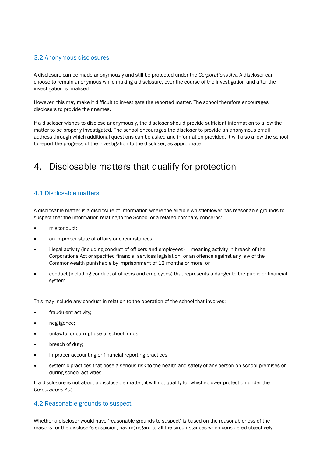#### <span id="page-3-0"></span>3.2 Anonymous disclosures

A disclosure can be made anonymously and still be protected under the *Corporations Act*. A discloser can choose to remain anonymous while making a disclosure, over the course of the investigation and after the investigation is finalised.

However, this may make it difficult to investigate the reported matter. The school therefore encourages disclosers to provide their names.

If a discloser wishes to disclose anonymously, the discloser should provide sufficient information to allow the matter to be properly investigated. The school encourages the discloser to provide an anonymous email address through which additional questions can be asked and information provided. It will also allow the school to report the progress of the investigation to the discloser, as appropriate.

# <span id="page-3-1"></span>4. Disclosable matters that qualify for protection

#### <span id="page-3-2"></span>4.1 Disclosable matters

A disclosable matter is a disclosure of information where the eligible whistleblower has reasonable grounds to suspect that the information relating to the School or a related company concerns:

- misconduct:
- an improper state of affairs or circumstances;
- illegal activity (including conduct of officers and employees) meaning activity in breach of the Corporations Act or specified financial services legislation, or an offence against any law of the Commonwealth punishable by imprisonment of 12 months or more; or
- conduct (including conduct of officers and employees) that represents a danger to the public or financial system.

This may include any conduct in relation to the operation of the school that involves:

- fraudulent activity;
- negligence;
- unlawful or corrupt use of school funds;
- breach of duty;
- improper accounting or financial reporting practices;
- systemic practices that pose a serious risk to the health and safety of any person on school premises or during school activities.

If a disclosure is not about a disclosable matter, it will not qualify for whistleblower protection under the *Corporations Act*.

#### <span id="page-3-3"></span>4.2 Reasonable grounds to suspect

Whether a discloser would have 'reasonable grounds to suspect' is based on the reasonableness of the reasons for the discloser's suspicion, having regard to all the circumstances when considered objectively.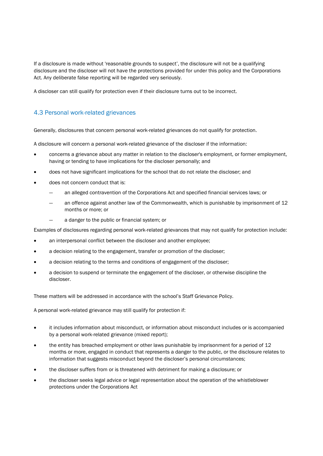If a disclosure is made without 'reasonable grounds to suspect', the disclosure will not be a qualifying disclosure and the discloser will not have the protections provided for under this policy and the Corporations Act. Any deliberate false reporting will be regarded very seriously.

A discloser can still qualify for protection even if their disclosure turns out to be incorrect.

#### <span id="page-4-0"></span>4.3 Personal work-related grievances

Generally, disclosures that concern personal work-related grievances do not qualify for protection.

A disclosure will concern a personal work-related grievance of the discloser if the information:

- concerns a grievance about any matter in relation to the discloser's employment, or former employment, having or tending to have implications for the discloser personally; and
- does not have significant implications for the school that do not relate the discloser; and
- does not concern conduct that is:
	- ― an alleged contravention of the Corporations Act and specified financial services laws; or
	- an offence against another law of the Commonwealth, which is punishable by imprisonment of 12 months or more; or
	- a danger to the public or financial system; or

Examples of disclosures regarding personal work-related grievances that may not qualify for protection include:

- an interpersonal conflict between the discloser and another employee;
- a decision relating to the engagement, transfer or promotion of the discloser;
- a decision relating to the terms and conditions of engagement of the discloser;
- a decision to suspend or terminate the engagement of the discloser, or otherwise discipline the discloser.

These matters will be addressed in accordance with the school's Staff Grievance Policy.

A personal work-related grievance may still qualify for protection if:

- it includes information about misconduct, or information about misconduct includes or is accompanied by a personal work-related grievance (mixed report);
- the entity has breached employment or other laws punishable by imprisonment for a period of 12 months or more, engaged in conduct that represents a danger to the public, or the disclosure relates to information that suggests misconduct beyond the discloser's personal circumstances;
- the discloser suffers from or is threatened with detriment for making a disclosure; or
- the discloser seeks legal advice or legal representation about the operation of the whistleblower protections under the Corporations Act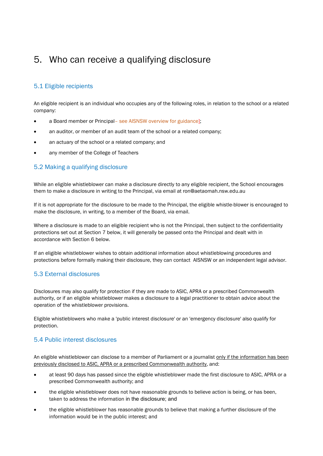# <span id="page-5-0"></span>5. Who can receive a qualifying disclosure

#### <span id="page-5-1"></span>5.1 Eligible recipients

An eligible recipient is an individual who occupies any of the following roles, in relation to the school or a related company:

- a Board member or Principal– see AISNSW overview for guidance];
- an auditor, or member of an audit team of the school or a related company;
- an actuary of the school or a related company; and
- any member of the College of Teachers

#### <span id="page-5-2"></span>5.2 Making a qualifying disclosure

While an eligible whistleblower can make a disclosure directly to any eligible recipient, the School encourages them to make a disclosure in writing to the Principal, via email at ron@aetaomah.nsw.edu.au

If it is not appropriate for the disclosure to be made to the Principal, the eligible whistle-blower is encouraged to make the disclosure, in writing, to a member of the Board, via email.

Where a disclosure is made to an eligible recipient who is not the Principal, then subject to the confidentiality protections set out at Section 7 below, it will generally be passed onto the Principal and dealt with in accordance with Section 6 below.

If an eligible whistleblower wishes to obtain additional information about whistleblowing procedures and protections before formally making their disclosure, they can contact AISNSW or an independent legal advisor.

#### <span id="page-5-3"></span>5.3 External disclosures

Disclosures may also qualify for protection if they are made to ASIC, APRA or a prescribed Commonwealth authority, or if an eligible whistleblower makes a disclosure to a legal practitioner to obtain advice about the operation of the whistleblower provisions.

Eligible whistleblowers who make a 'public interest disclosure' or an 'emergency disclosure' also qualify for protection.

#### <span id="page-5-4"></span>5.4 Public interest disclosures

An eligible whistleblower can disclose to a member of Parliament or a journalist only if the information has been previously disclosed to ASIC, APRA or a prescribed Commonwealth authority, and:

- at least 90 days has passed since the eligible whistleblower made the first disclosure to ASIC, APRA or a prescribed Commonwealth authority; and
- the eligible whistleblower does not have reasonable grounds to believe action is being, or has been, taken to address the information in the disclosure; and
- the eligible whistleblower has reasonable grounds to believe that making a further disclosure of the information would be in the public interest; and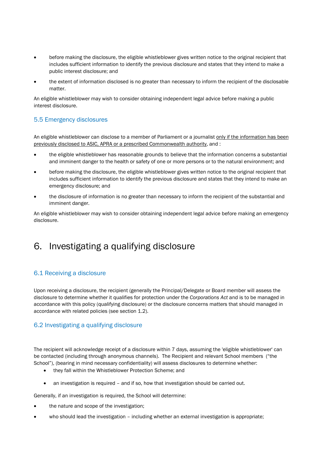- before making the disclosure, the eligible whistleblower gives written notice to the original recipient that includes sufficient information to identify the previous disclosure and states that they intend to make a public interest disclosure; and
- the extent of information disclosed is no greater than necessary to inform the recipient of the disclosable matter.

An eligible whistleblower may wish to consider obtaining independent legal advice before making a public interest disclosure.

#### <span id="page-6-0"></span>5.5 Emergency disclosures

An eligible whistleblower can disclose to a member of Parliament or a journalist only if the information has been previously disclosed to ASIC, APRA or a prescribed Commonwealth authority, and :

- the eligible whistleblower has reasonable grounds to believe that the information concerns a substantial and imminent danger to the health or safety of one or more persons or to the natural environment; and
- before making the disclosure, the eligible whistleblower gives written notice to the original recipient that includes sufficient information to identify the previous disclosure and states that they intend to make an emergency disclosure; and
- the disclosure of information is no greater than necessary to inform the recipient of the substantial and imminent danger.

An eligible whistleblower may wish to consider obtaining independent legal advice before making an emergency disclosure.

# <span id="page-6-1"></span>6. Investigating a qualifying disclosure

#### <span id="page-6-2"></span>6.1 Receiving a disclosure

Upon receiving a disclosure, the recipient (generally the Principal/Delegate or Board member will assess the disclosure to determine whether it qualifies for protection under the *Corporations Act* and is to be managed in accordance with this policy (qualifying disclosure) or the disclosure concerns matters that should managed in accordance with related policies (see section 1.2).

#### <span id="page-6-3"></span>6.2 Investigating a qualifying disclosure

The recipient will acknowledge receipt of a disclosure within 7 days, assuming the 'eligible whistleblower' can be contacted (including through anonymous channels). The Recipient and relevant School members ("the School"), (bearing in mind necessary confidentiality) will assess disclosures to determine whether:

- they fall within the Whistleblower Protection Scheme; and
- an investigation is required and if so, how that investigation should be carried out.

Generally, if an investigation is required, the School will determine:

- the nature and scope of the investigation;
- who should lead the investigation including whether an external investigation is appropriate;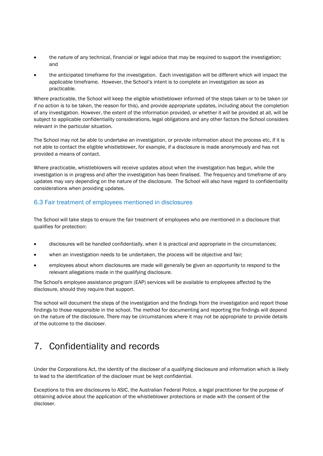- the nature of any technical, financial or legal advice that may be required to support the investigation; and
- the anticipated timeframe for the investigation. Each investigation will be different which will impact the applicable timeframe. However, the School's intent is to complete an investigation as soon as practicable.

Where practicable, the School will keep the eligible whistleblower informed of the steps taken or to be taken (or if no action is to be taken, the reason for this), and provide appropriate updates, including about the completion of any investigation. However, the extent of the information provided, or whether it will be provided at all, will be subject to applicable confidentiality considerations, legal obligations and any other factors the School considers relevant in the particular situation.

The School may not be able to undertake an investigation, or provide information about the process etc, if it is not able to contact the eligible whistleblower, for example, if a disclosure is made anonymously and has not provided a means of contact.

Where practicable, whistleblowers will receive updates about when the investigation has begun, while the investigation is in progress and after the investigation has been finalised. The frequency and timeframe of any updates may vary depending on the nature of the disclosure. The School will also have regard to confidentiality considerations when providing updates.

#### <span id="page-7-0"></span>6.3 Fair treatment of employees mentioned in disclosures

The School will take steps to ensure the fair treatment of employees who are mentioned in a disclosure that qualifies for protection:

- disclosures will be handled confidentially, when it is practical and appropriate in the circumstances;
- when an investigation needs to be undertaken, the process will be objective and fair;
- employees about whom disclosures are made will generally be given an opportunity to respond to the relevant allegations made in the qualifying disclosure.

The School's employee assistance program (EAP) services will be available to employees affected by the disclosure, should they require that support.

The school will document the steps of the investigation and the findings from the investigation and report those findings to those responsible in the school. The method for documenting and reporting the findings will depend on the nature of the disclosure. There may be circumstances where it may not be appropriate to provide details of the outcome to the discloser.

# <span id="page-7-1"></span>7. Confidentiality and records

Under the Corporations Act, the identity of the discloser of a qualifying disclosure and information which is likely to lead to the identification of the discloser must be kept confidential.

Exceptions to this are disclosures to ASIC, the Australian Federal Police, a legal practitioner for the purpose of obtaining advice about the application of the whistleblower protections or made with the consent of the discloser.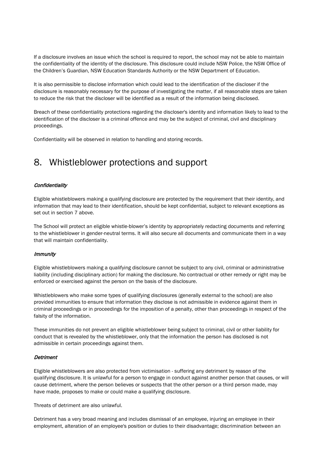If a disclosure involves an issue which the school is required to report, the school may not be able to maintain the confidentiality of the identity of the disclosure. This disclosure could include NSW Police, the NSW Office of the Children's Guardian, NSW Education Standards Authority or the NSW Department of Education.

It is also permissible to disclose information which could lead to the identification of the discloser if the disclosure is reasonably necessary for the purpose of investigating the matter, if all reasonable steps are taken to reduce the risk that the discloser will be identified as a result of the information being disclosed.

Breach of these confidentiality protections regarding the discloser's identity and information likely to lead to the identification of the discloser is a criminal offence and may be the subject of criminal, civil and disciplinary proceedings.

Confidentiality will be observed in relation to handling and storing records.

### <span id="page-8-0"></span>8. Whistleblower protections and support

#### **Confidentiality**

Eligible whistleblowers making a qualifying disclosure are protected by the requirement that their identity, and information that may lead to their identification, should be kept confidential, subject to relevant exceptions as set out in section 7 above.

The School will protect an eligible whistle-blower's identity by appropriately redacting documents and referring to the whistleblower in gender-neutral terms. It will also secure all documents and communicate them in a way that will maintain confidentiality.

#### **Immunity**

Eligible whistleblowers making a qualifying disclosure cannot be subject to any civil, criminal or administrative liability (including disciplinary action) for making the disclosure. No contractual or other remedy or right may be enforced or exercised against the person on the basis of the disclosure.

Whistleblowers who make some types of qualifying disclosures (generally external to the school) are also provided immunities to ensure that information they disclose is not admissible in evidence against them in criminal proceedings or in proceedings for the imposition of a penalty, other than proceedings in respect of the falsity of the information.

These immunities do not prevent an eligible whistleblower being subject to criminal, civil or other liability for conduct that is revealed by the whistleblower, only that the information the person has disclosed is not admissible in certain proceedings against them.

#### **Detriment**

Eligible whistleblowers are also protected from victimisation - suffering any detriment by reason of the qualifying disclosure. It is unlawful for a person to engage in conduct against another person that causes, or will cause detriment, where the person believes or suspects that the other person or a third person made, may have made, proposes to make or could make a qualifying disclosure.

Threats of detriment are also unlawful.

Detriment has a very broad meaning and includes dismissal of an employee, injuring an employee in their employment, alteration of an employee's position or duties to their disadvantage; discrimination between an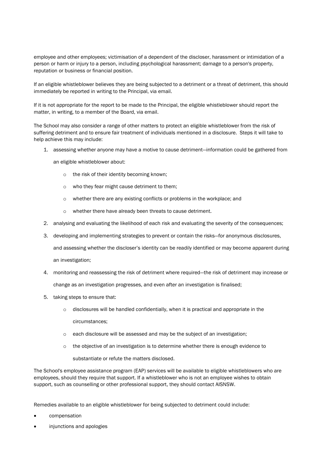employee and other employees; victimisation of a dependent of the discloser, harassment or intimidation of a person or harm or injury to a person, including psychological harassment; damage to a person's property, reputation or business or financial position.

If an eligible whistleblower believes they are being subjected to a detriment or a threat of detriment, this should immediately be reported in writing to the Principal, via email.

If it is not appropriate for the report to be made to the Principal, the eligible whistleblower should report the matter, in writing, to a member of the Board, via email.

The School may also consider a range of other matters to protect an eligible whistleblower from the risk of suffering detriment and to ensure fair treatment of individuals mentioned in a disclosure. Steps it will take to help achieve this may include:

1. assessing whether anyone may have a motive to cause detriment—information could be gathered from

an eligible whistleblower about:

- o the risk of their identity becoming known;
- o who they fear might cause detriment to them;
- o whether there are any existing conflicts or problems in the workplace; and
- o whether there have already been threats to cause detriment.
- 2. analysing and evaluating the likelihood of each risk and evaluating the severity of the consequences;
- 3. developing and implementing strategies to prevent or contain the risks—for anonymous disclosures,

and assessing whether the discloser's identity can be readily identified or may become apparent during an investigation;

- 4. monitoring and reassessing the risk of detriment where required—the risk of detriment may increase or change as an investigation progresses, and even after an investigation is finalised;
- 5. taking steps to ensure that:
	- $\circ$  disclosures will be handled confidentially, when it is practical and appropriate in the circumstances;
	- o each disclosure will be assessed and may be the subject of an investigation;
	- $\circ$  the objective of an investigation is to determine whether there is enough evidence to

substantiate or refute the matters disclosed.

The School's employee assistance program (EAP) services will be available to eligible whistleblowers who are employees, should they require that support. If a whistleblower who is not an employee wishes to obtain support, such as counselling or other professional support, they should contact AISNSW.

Remedies available to an eligible whistleblower for being subjected to detriment could include:

- compensation
- injunctions and apologies